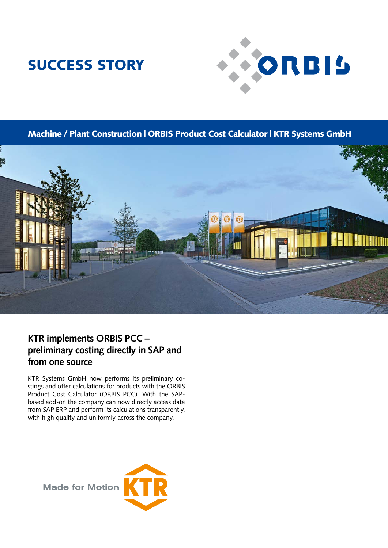# SUCCESS STORY



Machine / Plant Construction | ORBIS Product Cost Calculator | KTR Systems GmbH



### **KTR implements ORBIS PCC – preliminary costing directly in SAP and from one source**

KTR Systems GmbH now performs its preliminary costings and offer calculations for products with the ORBIS Product Cost Calculator (ORBIS PCC). With the SAPbased add-on the company can now directly access data from SAP ERP and perform its calculations transparently, with high quality and uniformly across the company.

Made for Motion

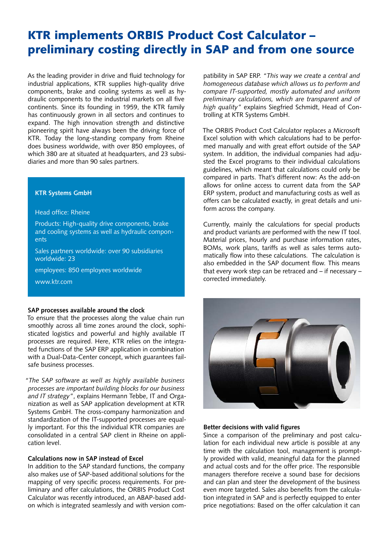## KTR implements ORBIS Product Cost Calculator – preliminary costing directly in SAP and from one source

As the leading provider in drive and fluid technology for industrial applications, KTR supplies high-quality drive components, brake and cooling systems as well as hydraulic components to the industrial markets on all five continents. Since its founding in 1959, the KTR family has continuously grown in all sectors and continues to expand. The high innovation strength and distinctive pioneering spirit have always been the driving force of KTR. Today the long-standing company from Rheine does business worldwide, with over 850 employees, of which 380 are at situated at headquarters, and 23 subsidiaries and more than 90 sales partners.

#### **KTR Systems GmbH**

#### Head office: Rheine

Products: High-quality drive components, brake and cooling systems as well as hydraulic components

Sales partners worldwide: over 90 subsidiaries worldwide: 23

employees: 850 employees worldwide

www.ktr.com

#### **SAP processes available around the clock**

To ensure that the processes along the value chain run smoothly across all time zones around the clock, sophisticated logistics and powerful and highly available IT processes are required. Here, KTR relies on the integrated functions of the SAP ERP application in combination with a Dual-Data-Center concept, which guarantees failsafe business processes.

*"The SAP software as well as highly available business processes are important building blocks for our business and IT strategy"*, explains Hermann Tebbe, IT and Organization as well as SAP application development at KTR Systems GmbH. The cross-company harmonization and standardization of the IT-supported processes are equally important. For this the individual KTR companies are consolidated in a central SAP client in Rheine on application level.

#### **Calculations now in SAP instead of Excel**

In addition to the SAP standard functions, the company also makes use of SAP-based additional solutions for the mapping of very specific process requirements. For preliminary and offer calculations, the ORBIS Product Cost Calculator was recently introduced, an ABAP-based addon which is integrated seamlessly and with version compatibility in SAP ERP. *"This way we create a central and homogeneous database which allows us to perform and compare IT-supported, mostly automated and uniform preliminary calculations, which are transparent and of high quality"* explains Siegfried Schmidt, Head of Controlling at KTR Systems GmbH.

The ORBIS Product Cost Calculator replaces a Microsoft Excel solution with which calculations had to be performed manually and with great effort outside of the SAP system. In addition, the individual companies had adjusted the Excel programs to their individual calculations guidelines, which meant that calculations could only be compared in parts. That's different now: As the add-on allows for online access to current data from the SAP ERP system, product and manufacturing costs as well as offers can be calculated exactly, in great details and uniform across the company.

Currently, mainly the calculations for special products and product variants are performed with the new IT tool. Material prices, hourly and purchase information rates, BOMs, work plans, tariffs as well as sales terms automatically flow into these calculations. The calculation is also embedded in the SAP document flow. This means that every work step can be retraced and – if necessary – corrected immediately.



#### **Better decisions with valid figures**

Since a comparison of the preliminary and post calculation for each individual new article is possible at any time with the calculation tool, management is promptly provided with valid, meaningful data for the planned and actual costs and for the offer price. The responsible managers therefore receive a sound base for decisions and can plan and steer the development of the business even more targeted. Sales also benefits from the calculation integrated in SAP and is perfectly equipped to enter price negotiations: Based on the offer calculation it can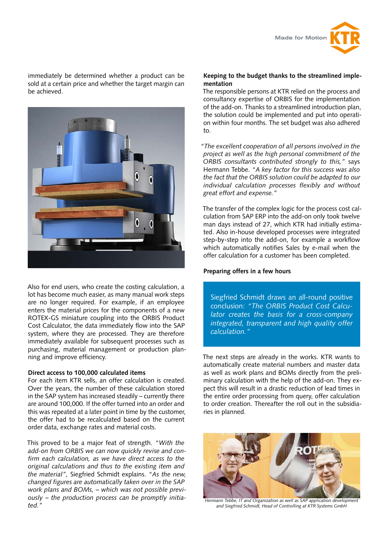

immediately be determined whether a product can be sold at a certain price and whether the target margin can be achieved.



Also for end users, who create the costing calculation, a lot has become much easier, as many manual work steps are no longer required. For example, if an employee enters the material prices for the components of a new ROTEX-GS miniature coupling into the ORBIS Product Cost Calculator, the data immediately flow into the SAP system, where they are processed. They are therefore immediately available for subsequent processes such as purchasing, material management or production planning and improve efficiency.

#### **Direct access to 100,000 calculated items**

For each item KTR sells, an offer calculation is created. Over the years, the number of these calculation stored in the SAP system has increased steadily – currently there are around 100,000. If the offer turned into an order and this was repeated at a later point in time by the customer, the offer had to be recalculated based on the current order data, exchange rates and material costs.

This proved to be a major feat of strength. *"With the add-on from ORBIS we can now quickly revise and confirm each calculation, as we have direct access to the original calculations and thus to the existing item and the material",* Siegfried Schmidt explains. *"As the new, changed figures are automatically taken over in the SAP work plans and BOMs, – which was not possible previously – the production process can be promptly initiated."*

#### **Keeping to the budget thanks to the streamlined implementation**

The responsible persons at KTR relied on the process and consultancy expertise of ORBIS for the implementation of the add-on. Thanks to a streamlined introduction plan, the solution could be implemented and put into operation within four months. The set budget was also adhered to.

*"The excellent cooperation of all persons involved in the project as well as the high personal commitment of the ORBIS consultants contributed strongly to this,"* says Hermann Tebbe. *"A key factor for this success was also the fact that the ORBIS solution could be adapted to our individual calculation processes flexibly and without great effort and expense."*

The transfer of the complex logic for the process cost calculation from SAP ERP into the add-on only took twelve man days instead of 27, which KTR had initially estimated. Also in-house developed processes were integrated step-by-step into the add-on, for example a workflow which automatically notifies Sales by e-mail when the offer calculation for a customer has been completed.

#### **Preparing offers in a few hours**

Siegfried Schmidt draws an all-round positive conclusion: *"The ORBIS Product Cost Calculator creates the basis for a cross-company integrated, transparent and high quality offer calculation."*

The next steps are already in the works. KTR wants to automatically create material numbers and master data as well as work plans and BOMs directly from the preliminary calculation with the help of the add-on. They expect this will result in a drastic reduction of lead times in the entire order processing from query, offer calculation to order creation. Thereafter the roll out in the subsidiaries in planned.



*Hermann Tebbe, IT and Organization as well as SAP application development and Siegfried Schmidt, Head of Controlling at KTR Systems GmbH*